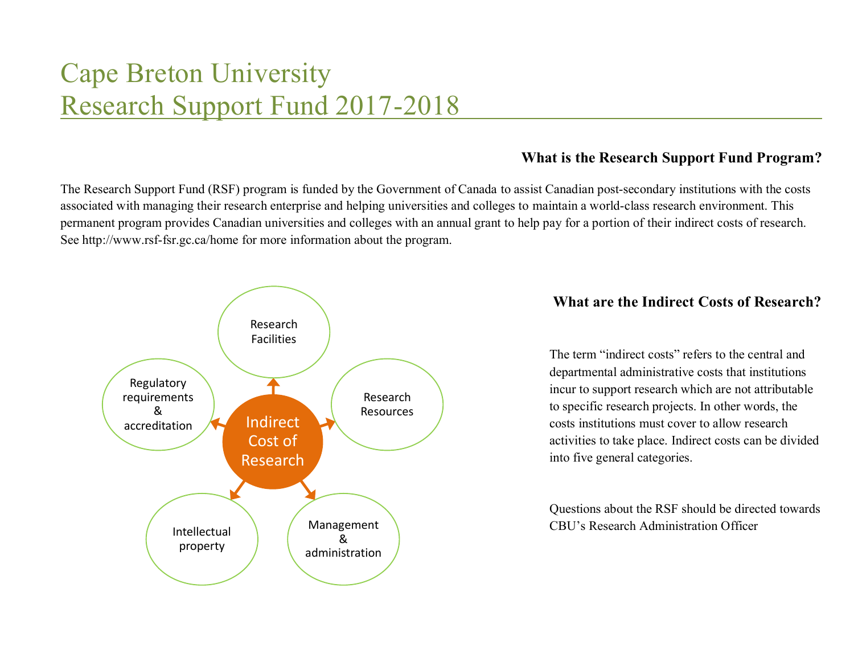# Cape Breton University Research Support Fund 2017-2018

# **What is the Research Support Fund Program?**

The Research Support Fund (RSF) program is funded by the Government of Canada to assist Canadian post-secondary institutions with the costs associated with managing their research enterprise and helping universities and colleges to maintain a world-class research environment. This permanent program provides Canadian universities and colleges with an annual grant to help pay for a portion of their indirect costs of research. See http://www.rsf-fsr.gc.ca/home for more information about the program.



## **What are the Indirect Costs of Research?**

The term "indirect costs" refers to the central and departmental administrative costs that institutions incur to support research which are not attributable to specific research projects. In other words, the costs institutions must cover to allow research activities to take place. Indirect costs can be divided into five general categories.

Questions about the RSF should be directed towards CBU's Research Administration Officer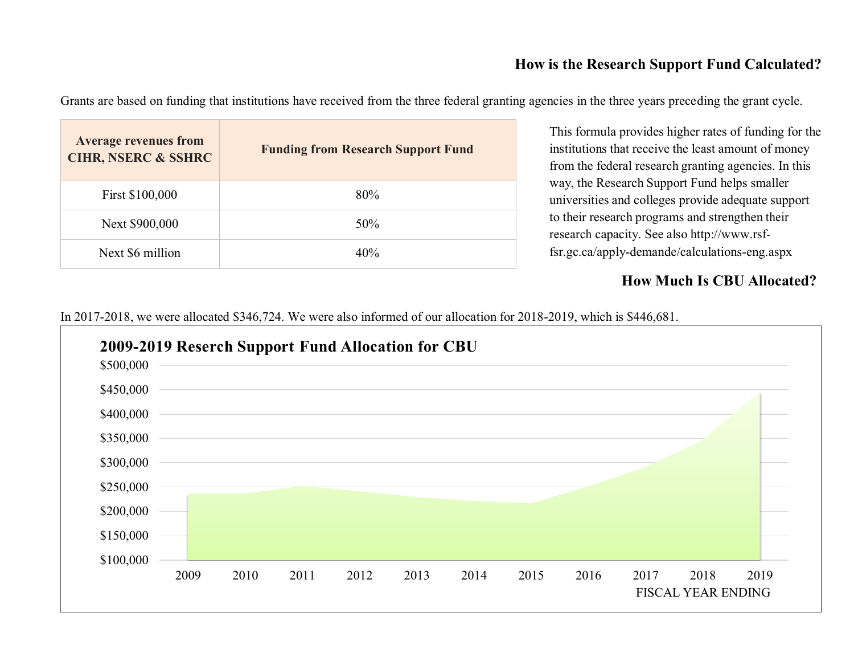# **How is the Research Support Fund Calculated?**

Grants are based on funding that institutions have received from the three federal granting agencies in the three years preceding the grant cycle.

| <b>Average revenues from</b><br><b>CIHR, NSERC &amp; SSHRC</b> | <b>Funding from Research Support Fund</b> |
|----------------------------------------------------------------|-------------------------------------------|
| First \$100,000                                                | 80%                                       |
| Next \$900,000                                                 | $50\%$                                    |
| Next \$6 million                                               | 40%                                       |

This formula provides higher rates of funding for the institutions that receive the least amount of money from the federal research granting agencies. In this way, the Research Support Fund helps smaller universities and colleges provide adequate support to their research programs and strengthen their research capacity. See also http://www.rsffsr.gc.ca/apply-demande/calculations-eng.aspx

# **How Much Is CBU Allocated?**

In 2017-2018, we were allocated \$346,724. We were also informed of our allocation for 2018-2019, which is \$446,681.